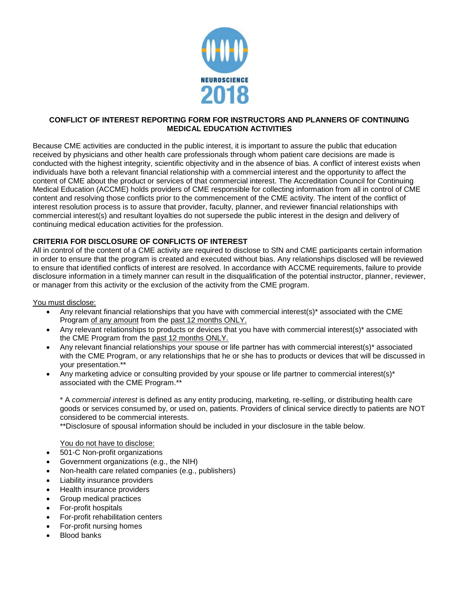

## **CONFLICT OF INTEREST REPORTING FORM FOR INSTRUCTORS AND PLANNERS OF CONTINUING MEDICAL EDUCATION ACTIVITIES**

Because CME activities are conducted in the public interest, it is important to assure the public that education received by physicians and other health care professionals through whom patient care decisions are made is conducted with the highest integrity, scientific objectivity and in the absence of bias. A conflict of interest exists when individuals have both a relevant financial relationship with a commercial interest and the opportunity to affect the content of CME about the product or services of that commercial interest. The Accreditation Council for Continuing Medical Education (ACCME) holds providers of CME responsible for collecting information from all in control of CME content and resolving those conflicts prior to the commencement of the CME activity. The intent of the conflict of interest resolution process is to assure that provider, faculty, planner, and reviewer financial relationships with commercial interest(s) and resultant loyalties do not supersede the public interest in the design and delivery of continuing medical education activities for the profession.

## **CRITERIA FOR DISCLOSURE OF CONFLICTS OF INTEREST**

All in control of the content of a CME activity are required to disclose to SfN and CME participants certain information in order to ensure that the program is created and executed without bias. Any relationships disclosed will be reviewed to ensure that identified conflicts of interest are resolved. In accordance with ACCME requirements, failure to provide disclosure information in a timely manner can result in the disqualification of the potential instructor, planner, reviewer, or manager from this activity or the exclusion of the activity from the CME program.

## You must disclose:

- Any relevant financial relationships that you have with commercial interest(s)\* associated with the CME Program of any amount from the past 12 months ONLY.
- Any relevant relationships to products or devices that you have with commercial interest(s)\* associated with the CME Program from the past 12 months ONLY.
- Any relevant financial relationships your spouse or life partner has with commercial interest(s)\* associated with the CME Program, or any relationships that he or she has to products or devices that will be discussed in your presentation.\*\*
- Any marketing advice or consulting provided by your spouse or life partner to commercial interest(s)\* associated with the CME Program.\*\*

\* A *commercial interest* is defined as any entity producing, marketing, re-selling, or distributing health care goods or services consumed by, or used on, patients. Providers of clinical service directly to patients are NOT considered to be commercial interests.

\*\*Disclosure of spousal information should be included in your disclosure in the table below.

You do not have to disclose:

- 501-C Non-profit organizations
- Government organizations (e.g., the NIH)
- Non-health care related companies (e.g., publishers)
- Liability insurance providers
- Health insurance providers
- Group medical practices
- For-profit hospitals
- For-profit rehabilitation centers
- For-profit nursing homes
- Blood banks